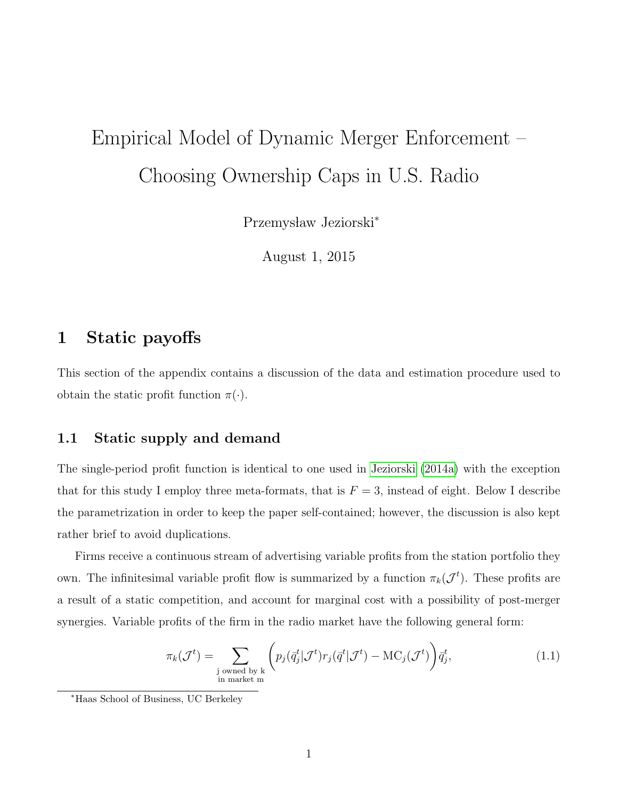# Empirical Model of Dynamic Merger Enforcement – Choosing Ownership Caps in U.S. Radio

Przemysław Jeziorski<sup>\*</sup>

August 1, 2015

# <span id="page-0-0"></span>1 Static payoffs

This section of the appendix contains a discussion of the data and estimation procedure used to obtain the static profit function  $\pi(\cdot)$ .

#### 1.1 Static supply and demand

The single-period profit function is identical to one used in [Jeziorski](#page-26-0) [\(2014a\)](#page-26-0) with the exception that for this study I employ three meta-formats, that is  $F = 3$ , instead of eight. Below I describe the parametrization in order to keep the paper self-contained; however, the discussion is also kept rather brief to avoid duplications.

Firms receive a continuous stream of advertising variable profits from the station portfolio they own. The infinitesimal variable profit flow is summarized by a function  $\pi_k(\mathcal{J}^t)$ . These profits are a result of a static competition, and account for marginal cost with a possibility of post-merger synergies. Variable profits of the firm in the radio market have the following general form:

$$
\pi_k(\mathcal{J}^t) = \sum_{\substack{\text{j owned by k} \\ \text{in market m}}} \left( p_j(\bar{q}_j^t | \mathcal{J}^t) r_j(\bar{q}^t | \mathcal{J}^t) - \text{MC}_j(\mathcal{J}^t) \right) \bar{q}_j^t,
$$
\n(1.1)

<sup>∗</sup>Haas School of Business, UC Berkeley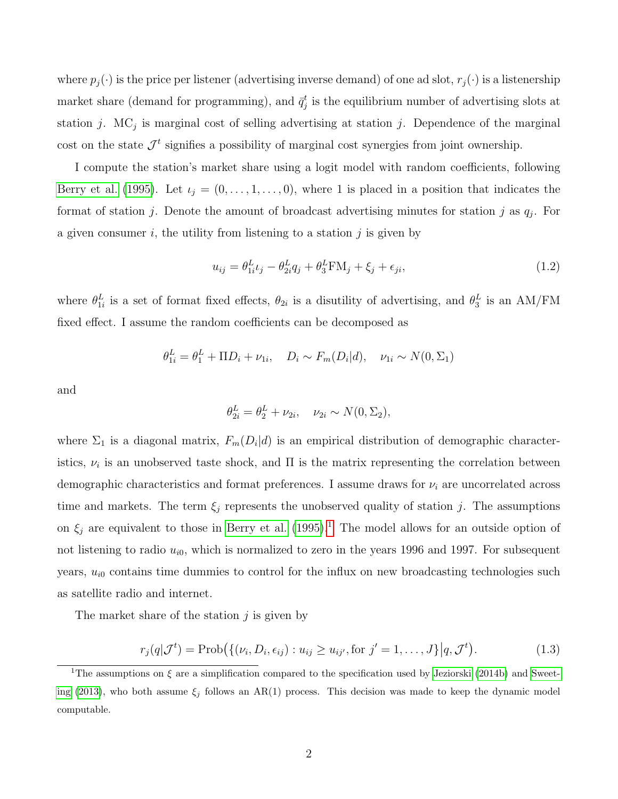where  $p_j(\cdot)$  is the price per listener (advertising inverse demand) of one ad slot,  $r_j(\cdot)$  is a listenership market share (demand for programming), and  $\bar{q}_j^t$  is the equilibrium number of advertising slots at station j. MC<sub>j</sub> is marginal cost of selling advertising at station j. Dependence of the marginal cost on the state  $\mathcal{J}^t$  signifies a possibility of marginal cost synergies from joint ownership.

I compute the station's market share using a logit model with random coefficients, following [Berry et al.](#page-26-1) [\(1995\)](#page-26-1). Let  $\iota_j = (0, \ldots, 1, \ldots, 0)$ , where 1 is placed in a position that indicates the format of station j. Denote the amount of broadcast advertising minutes for station j as  $q_j$ . For a given consumer  $i$ , the utility from listening to a station  $j$  is given by

<span id="page-1-1"></span>
$$
u_{ij} = \theta_{1i}^L \iota_j - \theta_{2i}^L q_j + \theta_3^L \mathbf{F} \mathbf{M}_j + \xi_j + \epsilon_{ji}, \qquad (1.2)
$$

where  $\theta_{1i}^L$  is a set of format fixed effects,  $\theta_{2i}$  is a disutility of advertising, and  $\theta_3^L$  is an AM/FM fixed effect. I assume the random coefficients can be decomposed as

$$
\theta_{1i}^{L} = \theta_1^{L} + \Pi D_i + \nu_{1i}, \quad D_i \sim F_m(D_i|d), \quad \nu_{1i} \sim N(0, \Sigma_1)
$$

and

$$
\theta_{2i}^L = \theta_2^L + \nu_{2i}, \quad \nu_{2i} \sim N(0, \Sigma_2),
$$

where  $\Sigma_1$  is a diagonal matrix,  $F_m(D_i|d)$  is an empirical distribution of demographic characteristics,  $\nu_i$  is an unobserved taste shock, and  $\Pi$  is the matrix representing the correlation between demographic characteristics and format preferences. I assume draws for  $\nu_i$  are uncorrelated across time and markets. The term  $\xi_j$  represents the unobserved quality of station j. The assumptions on  $\xi_j$  are equivalent to those in [Berry et al.](#page-26-1) [\(1995\)](#page-26-1).<sup>[1](#page-1-0)</sup> The model allows for an outside option of not listening to radio  $u_{i0}$ , which is normalized to zero in the years 1996 and 1997. For subsequent years,  $u_{i0}$  contains time dummies to control for the influx on new broadcasting technologies such as satellite radio and internet.

The market share of the station  $j$  is given by

$$
r_j(q|\mathcal{J}^t) = \text{Prob}\big(\{(\nu_i, D_i, \epsilon_{ij}) : u_{ij} \ge u_{ij'}, \text{for } j' = 1, \dots, J\} | q, \mathcal{J}^t\big).
$$
\n(1.3)

<span id="page-1-0"></span><sup>&</sup>lt;sup>1</sup>The assumptions on  $\xi$  are a simplification compared to the specification used by [Jeziorski](#page-26-2) [\(2014b\)](#page-26-2) and [Sweet](#page-26-3)[ing](#page-26-3) [\(2013\)](#page-26-3), who both assume  $\xi_j$  follows an AR(1) process. This decision was made to keep the dynamic model computable.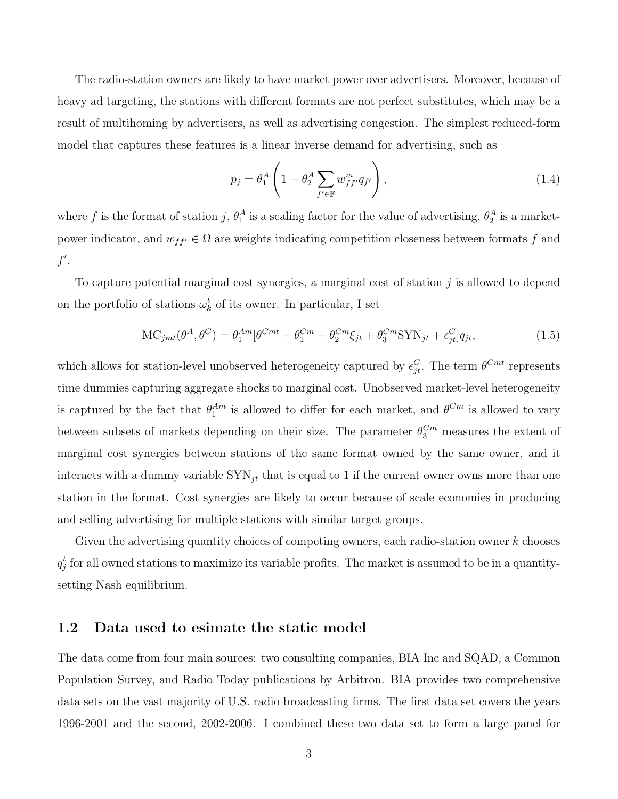The radio-station owners are likely to have market power over advertisers. Moreover, because of heavy ad targeting, the stations with different formats are not perfect substitutes, which may be a result of multihoming by advertisers, as well as advertising congestion. The simplest reduced-form model that captures these features is a linear inverse demand for advertising, such as

<span id="page-2-1"></span><span id="page-2-0"></span>
$$
p_j = \theta_1^A \left( 1 - \theta_2^A \sum_{f' \in \mathbb{F}} w_{ff'}^m q_{f'} \right), \tag{1.4}
$$

where f is the format of station j,  $\theta_1^A$  is a scaling factor for the value of advertising,  $\theta_2^A$  is a marketpower indicator, and  $w_{ff'} \in \Omega$  are weights indicating competition closeness between formats f and  $f'.$ 

To capture potential marginal cost synergies, a marginal cost of station  $j$  is allowed to depend on the portfolio of stations  $\omega_k^t$  of its owner. In particular, I set

$$
MC_{jmt}(\theta^A, \theta^C) = \theta_1^{Am}[\theta^{Cmt} + \theta_1^{Cm} + \theta_2^{Cm}\xi_{jt} + \theta_3^{Cm}SYN_{jt} + \epsilon_{jt}^C]q_{jt},
$$
\n(1.5)

which allows for station-level unobserved heterogeneity captured by  $\epsilon_{jt}^C$ . The term  $\theta^{Cmt}$  represents time dummies capturing aggregate shocks to marginal cost. Unobserved market-level heterogeneity is captured by the fact that  $\theta_1^{Am}$  is allowed to differ for each market, and  $\theta^{Cm}$  is allowed to vary between subsets of markets depending on their size. The parameter  $\theta_3^{C_m}$  measures the extent of marginal cost synergies between stations of the same format owned by the same owner, and it interacts with a dummy variable  $SYN_{jt}$  that is equal to 1 if the current owner owns more than one station in the format. Cost synergies are likely to occur because of scale economies in producing and selling advertising for multiple stations with similar target groups.

Given the advertising quantity choices of competing owners, each radio-station owner  $k$  chooses  $q_j^t$  for all owned stations to maximize its variable profits. The market is assumed to be in a quantitysetting Nash equilibrium.

#### 1.2 Data used to esimate the static model

The data come from four main sources: two consulting companies, BIA Inc and SQAD, a Common Population Survey, and Radio Today publications by Arbitron. BIA provides two comprehensive data sets on the vast majority of U.S. radio broadcasting firms. The first data set covers the years 1996-2001 and the second, 2002-2006. I combined these two data set to form a large panel for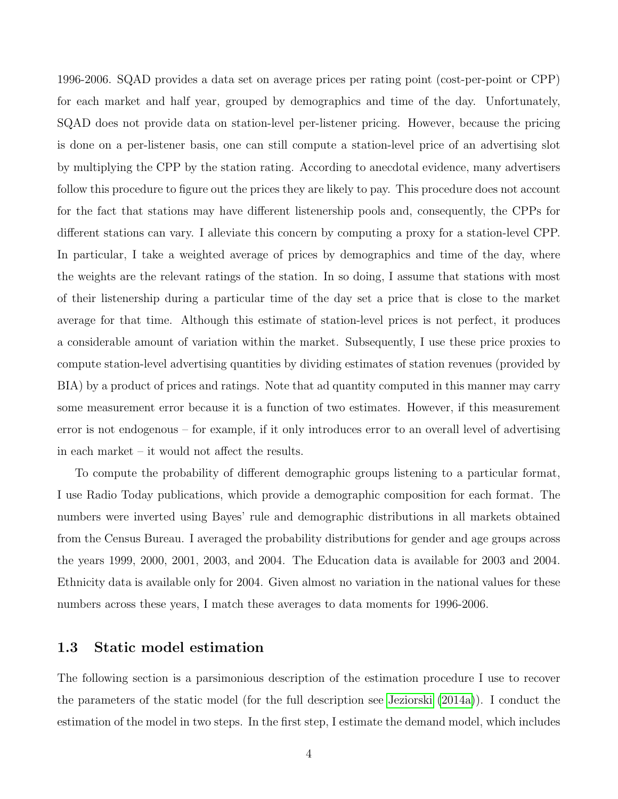1996-2006. SQAD provides a data set on average prices per rating point (cost-per-point or CPP) for each market and half year, grouped by demographics and time of the day. Unfortunately, SQAD does not provide data on station-level per-listener pricing. However, because the pricing is done on a per-listener basis, one can still compute a station-level price of an advertising slot by multiplying the CPP by the station rating. According to anecdotal evidence, many advertisers follow this procedure to figure out the prices they are likely to pay. This procedure does not account for the fact that stations may have different listenership pools and, consequently, the CPPs for different stations can vary. I alleviate this concern by computing a proxy for a station-level CPP. In particular, I take a weighted average of prices by demographics and time of the day, where the weights are the relevant ratings of the station. In so doing, I assume that stations with most of their listenership during a particular time of the day set a price that is close to the market average for that time. Although this estimate of station-level prices is not perfect, it produces a considerable amount of variation within the market. Subsequently, I use these price proxies to compute station-level advertising quantities by dividing estimates of station revenues (provided by BIA) by a product of prices and ratings. Note that ad quantity computed in this manner may carry some measurement error because it is a function of two estimates. However, if this measurement error is not endogenous – for example, if it only introduces error to an overall level of advertising in each market – it would not affect the results.

To compute the probability of different demographic groups listening to a particular format, I use Radio Today publications, which provide a demographic composition for each format. The numbers were inverted using Bayes' rule and demographic distributions in all markets obtained from the Census Bureau. I averaged the probability distributions for gender and age groups across the years 1999, 2000, 2001, 2003, and 2004. The Education data is available for 2003 and 2004. Ethnicity data is available only for 2004. Given almost no variation in the national values for these numbers across these years, I match these averages to data moments for 1996-2006.

#### 1.3 Static model estimation

The following section is a parsimonious description of the estimation procedure I use to recover the parameters of the static model (for the full description see [Jeziorski](#page-26-0) [\(2014a\)](#page-26-0)). I conduct the estimation of the model in two steps. In the first step, I estimate the demand model, which includes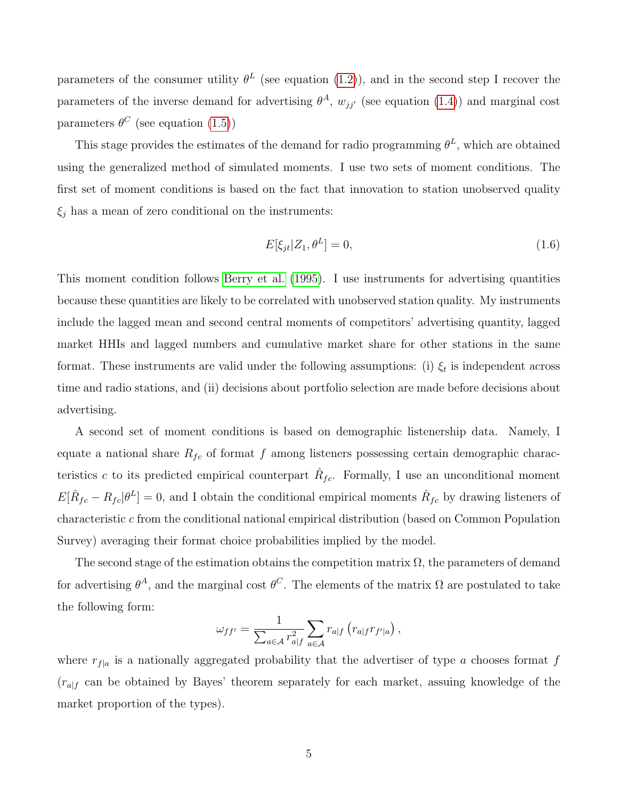parameters of the consumer utility  $\theta^L$  (see equation [\(1.2\)](#page-1-1)), and in the second step I recover the parameters of the inverse demand for advertising  $\theta^A$ ,  $w_{jj'}$  (see equation [\(1.4\)](#page-2-0)) and marginal cost parameters  $\theta^C$  (see equation [\(1.5\)](#page-2-1))

This stage provides the estimates of the demand for radio programming  $\theta^L$ , which are obtained using the generalized method of simulated moments. I use two sets of moment conditions. The first set of moment conditions is based on the fact that innovation to station unobserved quality  $\xi_j$  has a mean of zero conditional on the instruments:

$$
E[\xi_{jt}|Z_1,\theta^L]=0,\t\t(1.6)
$$

This moment condition follows [Berry et al.](#page-26-1) [\(1995\)](#page-26-1). I use instruments for advertising quantities because these quantities are likely to be correlated with unobserved station quality. My instruments include the lagged mean and second central moments of competitors' advertising quantity, lagged market HHIs and lagged numbers and cumulative market share for other stations in the same format. These instruments are valid under the following assumptions: (i)  $\xi_t$  is independent across time and radio stations, and (ii) decisions about portfolio selection are made before decisions about advertising.

A second set of moment conditions is based on demographic listenership data. Namely, I equate a national share  $R_{fc}$  of format f among listeners possessing certain demographic characteristics c to its predicted empirical counterpart  $\hat{R}_{fc}$ . Formally, I use an unconditional moment  $E[\hat{R}_{fc} - R_{fc}|\theta^L] = 0$ , and I obtain the conditional empirical moments  $\hat{R}_{fc}$  by drawing listeners of characteristic c from the conditional national empirical distribution (based on Common Population Survey) averaging their format choice probabilities implied by the model.

The second stage of the estimation obtains the competition matrix  $\Omega$ , the parameters of demand for advertising  $\theta^A$ , and the marginal cost  $\theta^C$ . The elements of the matrix  $\Omega$  are postulated to take the following form:

$$
\omega_{ff'} = \frac{1}{\sum_{a \in \mathcal{A}} r_{a|f}^2} \sum_{a \in \mathcal{A}} r_{a|f} (r_{a|f} r_{f'|a}),
$$

where  $r_{f|a}$  is a nationally aggregated probability that the advertiser of type a chooses format f  $(r_{a|f}$  can be obtained by Bayes' theorem separately for each market, assuing knowledge of the market proportion of the types).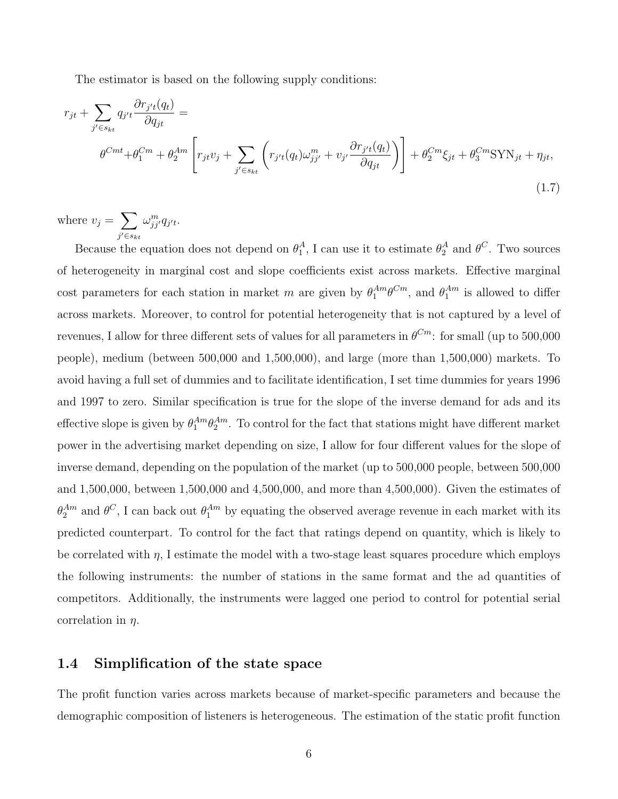The estimator is based on the following supply conditions:

$$
r_{jt} + \sum_{j' \in s_{kt}} q_{j't} \frac{\partial r_{j't}(q_t)}{\partial q_{jt}} =
$$
  

$$
\theta^{Cmt} + \theta_1^{Cm} + \theta_2^{Am} \left[ r_{jt} v_j + \sum_{j' \in s_{kt}} \left( r_{j't}(q_t) \omega_{jj'}^m + v_{j'} \frac{\partial r_{j't}(q_t)}{\partial q_{jt}} \right) \right] + \theta_2^{Cm} \xi_{jt} + \theta_3^{Cm} \text{SYN}_{jt} + \eta_{jt},
$$
\n(1.7)

where  $v_j = \sum$  $j' \in s_{kt}$  $\omega_{jj^{\prime}}^{m}q_{j^{\prime}t}$ .

Because the equation does not depend on  $\theta_1^A$ , I can use it to estimate  $\theta_2^A$  and  $\theta^C$ . Two sources of heterogeneity in marginal cost and slope coefficients exist across markets. Effective marginal cost parameters for each station in market m are given by  $\theta_1^{Am}\theta^{Cm}$ , and  $\theta_1^{Am}$  is allowed to differ across markets. Moreover, to control for potential heterogeneity that is not captured by a level of revenues, I allow for three different sets of values for all parameters in  $\theta^{Cm}$ : for small (up to 500,000 people), medium (between 500,000 and 1,500,000), and large (more than 1,500,000) markets. To avoid having a full set of dummies and to facilitate identification, I set time dummies for years 1996 and 1997 to zero. Similar specification is true for the slope of the inverse demand for ads and its effective slope is given by  $\theta_1^{Am}\theta_2^{Am}$ . To control for the fact that stations might have different market power in the advertising market depending on size, I allow for four different values for the slope of inverse demand, depending on the population of the market (up to 500,000 people, between 500,000 and 1,500,000, between 1,500,000 and 4,500,000, and more than 4,500,000). Given the estimates of  $\theta_2^{Am}$  and  $\theta^C$ , I can back out  $\theta_1^{Am}$  by equating the observed average revenue in each market with its predicted counterpart. To control for the fact that ratings depend on quantity, which is likely to be correlated with  $\eta$ , I estimate the model with a two-stage least squares procedure which employs the following instruments: the number of stations in the same format and the ad quantities of competitors. Additionally, the instruments were lagged one period to control for potential serial correlation in  $\eta$ .

#### 1.4 Simplification of the state space

The profit function varies across markets because of market-specific parameters and because the demographic composition of listeners is heterogeneous. The estimation of the static profit function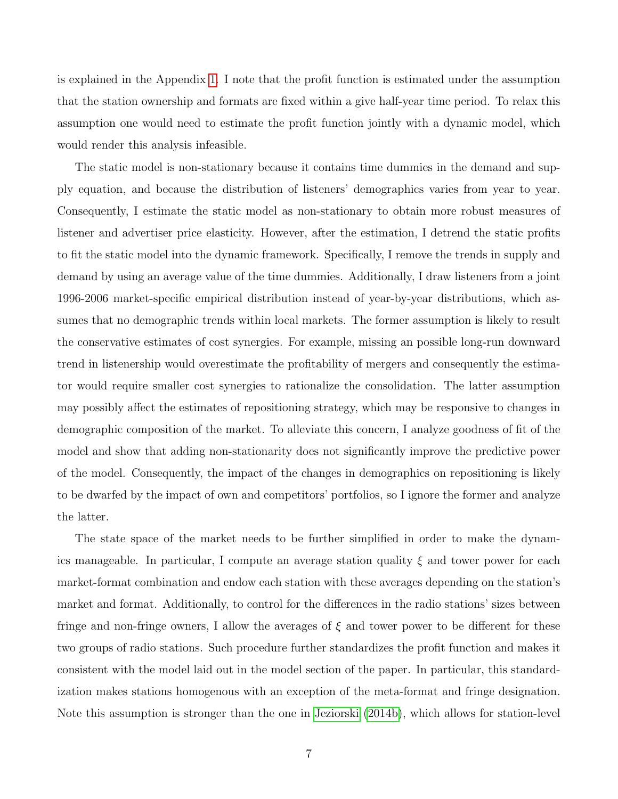is explained in the Appendix [1.](#page-0-0) I note that the profit function is estimated under the assumption that the station ownership and formats are fixed within a give half-year time period. To relax this assumption one would need to estimate the profit function jointly with a dynamic model, which would render this analysis infeasible.

The static model is non-stationary because it contains time dummies in the demand and supply equation, and because the distribution of listeners' demographics varies from year to year. Consequently, I estimate the static model as non-stationary to obtain more robust measures of listener and advertiser price elasticity. However, after the estimation, I detrend the static profits to fit the static model into the dynamic framework. Specifically, I remove the trends in supply and demand by using an average value of the time dummies. Additionally, I draw listeners from a joint 1996-2006 market-specific empirical distribution instead of year-by-year distributions, which assumes that no demographic trends within local markets. The former assumption is likely to result the conservative estimates of cost synergies. For example, missing an possible long-run downward trend in listenership would overestimate the profitability of mergers and consequently the estimator would require smaller cost synergies to rationalize the consolidation. The latter assumption may possibly affect the estimates of repositioning strategy, which may be responsive to changes in demographic composition of the market. To alleviate this concern, I analyze goodness of fit of the model and show that adding non-stationarity does not significantly improve the predictive power of the model. Consequently, the impact of the changes in demographics on repositioning is likely to be dwarfed by the impact of own and competitors' portfolios, so I ignore the former and analyze the latter.

The state space of the market needs to be further simplified in order to make the dynamics manageable. In particular, I compute an average station quality  $\xi$  and tower power for each market-format combination and endow each station with these averages depending on the station's market and format. Additionally, to control for the differences in the radio stations' sizes between fringe and non-fringe owners, I allow the averages of  $\xi$  and tower power to be different for these two groups of radio stations. Such procedure further standardizes the profit function and makes it consistent with the model laid out in the model section of the paper. In particular, this standardization makes stations homogenous with an exception of the meta-format and fringe designation. Note this assumption is stronger than the one in [Jeziorski](#page-26-2) [\(2014b\)](#page-26-2), which allows for station-level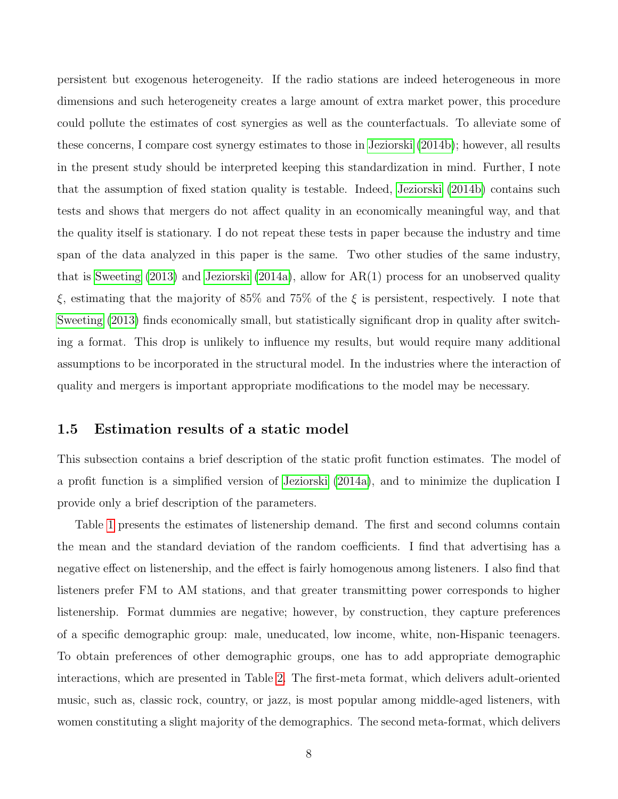persistent but exogenous heterogeneity. If the radio stations are indeed heterogeneous in more dimensions and such heterogeneity creates a large amount of extra market power, this procedure could pollute the estimates of cost synergies as well as the counterfactuals. To alleviate some of these concerns, I compare cost synergy estimates to those in [Jeziorski](#page-26-2) [\(2014b\)](#page-26-2); however, all results in the present study should be interpreted keeping this standardization in mind. Further, I note that the assumption of fixed station quality is testable. Indeed, [Jeziorski](#page-26-2) [\(2014b\)](#page-26-2) contains such tests and shows that mergers do not affect quality in an economically meaningful way, and that the quality itself is stationary. I do not repeat these tests in paper because the industry and time span of the data analyzed in this paper is the same. Two other studies of the same industry, that is [Sweeting](#page-26-3) [\(2013\)](#page-26-3) and [Jeziorski](#page-26-0) [\(2014a\)](#page-26-0), allow for AR(1) process for an unobserved quality ξ, estimating that the majority of 85% and 75% of the ξ is persistent, respectively. I note that [Sweeting](#page-26-3) [\(2013\)](#page-26-3) finds economically small, but statistically significant drop in quality after switching a format. This drop is unlikely to influence my results, but would require many additional assumptions to be incorporated in the structural model. In the industries where the interaction of quality and mergers is important appropriate modifications to the model may be necessary.

#### 1.5 Estimation results of a static model

This subsection contains a brief description of the static profit function estimates. The model of a profit function is a simplified version of [Jeziorski](#page-26-0) [\(2014a\)](#page-26-0), and to minimize the duplication I provide only a brief description of the parameters.

Table [1](#page-9-0) presents the estimates of listenership demand. The first and second columns contain the mean and the standard deviation of the random coefficients. I find that advertising has a negative effect on listenership, and the effect is fairly homogenous among listeners. I also find that listeners prefer FM to AM stations, and that greater transmitting power corresponds to higher listenership. Format dummies are negative; however, by construction, they capture preferences of a specific demographic group: male, uneducated, low income, white, non-Hispanic teenagers. To obtain preferences of other demographic groups, one has to add appropriate demographic interactions, which are presented in Table [2.](#page-10-0) The first-meta format, which delivers adult-oriented music, such as, classic rock, country, or jazz, is most popular among middle-aged listeners, with women constituting a slight majority of the demographics. The second meta-format, which delivers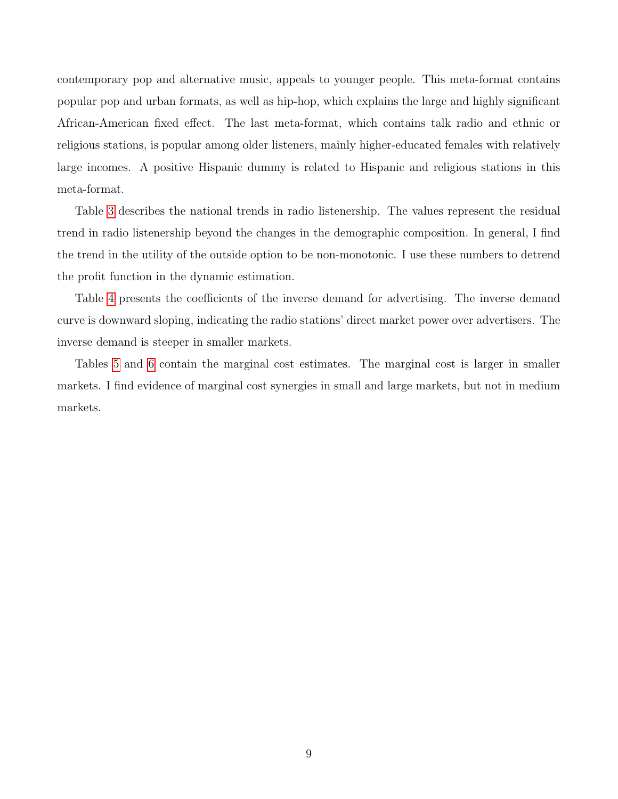contemporary pop and alternative music, appeals to younger people. This meta-format contains popular pop and urban formats, as well as hip-hop, which explains the large and highly significant African-American fixed effect. The last meta-format, which contains talk radio and ethnic or religious stations, is popular among older listeners, mainly higher-educated females with relatively large incomes. A positive Hispanic dummy is related to Hispanic and religious stations in this meta-format.

Table [3](#page-11-0) describes the national trends in radio listenership. The values represent the residual trend in radio listenership beyond the changes in the demographic composition. In general, I find the trend in the utility of the outside option to be non-monotonic. I use these numbers to detrend the profit function in the dynamic estimation.

Table [4](#page-11-1) presents the coefficients of the inverse demand for advertising. The inverse demand curve is downward sloping, indicating the radio stations' direct market power over advertisers. The inverse demand is steeper in smaller markets.

Tables [5](#page-12-0) and [6](#page-12-1) contain the marginal cost estimates. The marginal cost is larger in smaller markets. I find evidence of marginal cost synergies in small and large markets, but not in medium markets.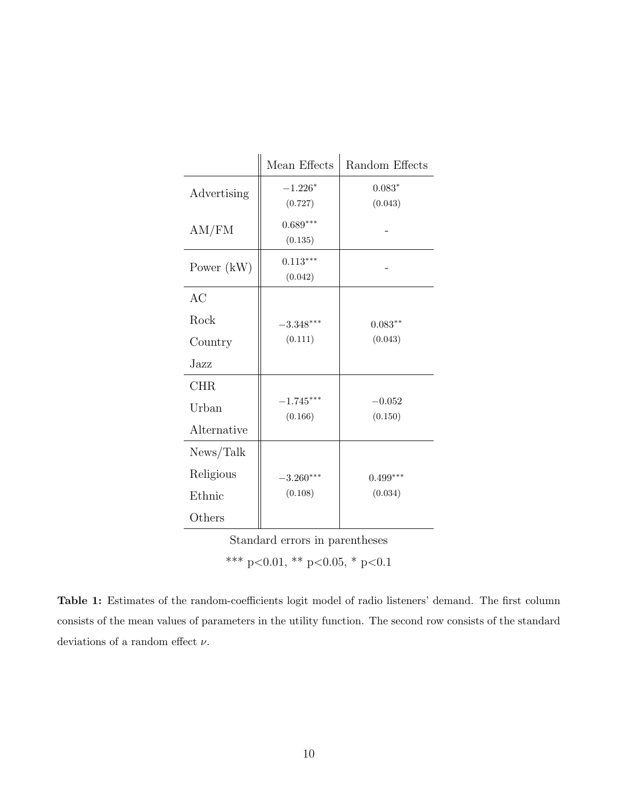<span id="page-9-0"></span>

|              | Mean Effects           | Random Effects |  |  |
|--------------|------------------------|----------------|--|--|
| Advertising  | $-1.226*$              | $0.083*$       |  |  |
|              | (0.727)                | (0.043)        |  |  |
| AM/FM        | $0.689***$             |                |  |  |
|              | (0.135)                |                |  |  |
| Power $(kW)$ | $0.113***$             |                |  |  |
|              | (0.042)                |                |  |  |
| AC           |                        |                |  |  |
| Rock         | $-3.348***$            | $0.083**$      |  |  |
| Country      | (0.111)                | (0.043)        |  |  |
| Jazz         |                        |                |  |  |
| <b>CHR</b>   |                        |                |  |  |
| Urban        | $-1.745***$<br>(0.166) | $-0.052$       |  |  |
| Alternative  |                        | (0.150)        |  |  |
| News/Talk    |                        |                |  |  |
| Religious    | $-3.260***$            | $0.499***$     |  |  |
| Ethnic       | (0.108)                | (0.034)        |  |  |
| Others       |                        |                |  |  |

\*\*\* p<0.01, \*\* p<0.05, \* p<0.1

Table 1: Estimates of the random-coefficients logit model of radio listeners' demand. The first column consists of the mean values of parameters in the utility function. The second row consists of the standard deviations of a random effect  $\nu$ .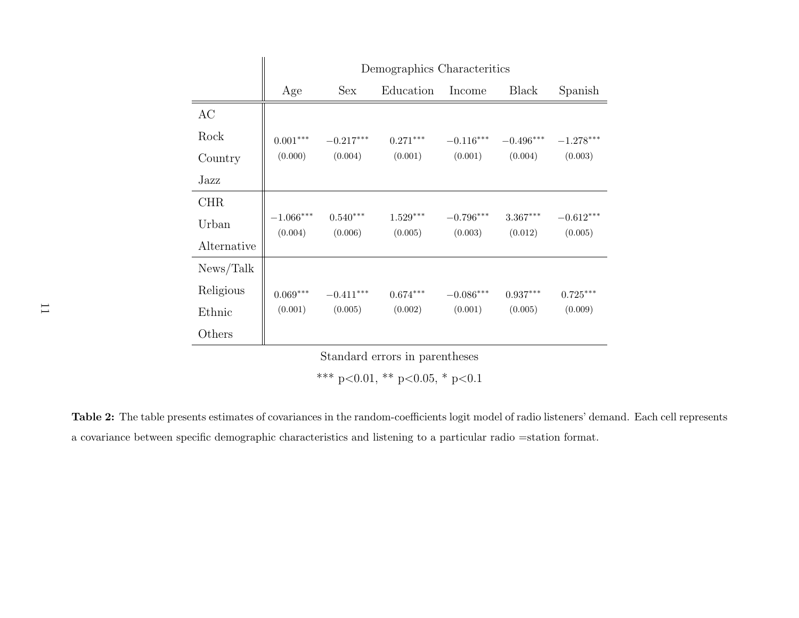|             | Demographics Characteritics |                       |                        |                        |                                   |                                    |
|-------------|-----------------------------|-----------------------|------------------------|------------------------|-----------------------------------|------------------------------------|
|             | Age                         | <b>Sex</b>            | Education              | Income                 | <b>Black</b>                      | Spanish                            |
| AC          |                             |                       |                        |                        |                                   |                                    |
| Rock        | $0.001^{***}\,$             | $-0.217***$           | $0.271***$             | $-0.116***$            | $-0.496***$                       | $-1.278***$                        |
| Country     | (0.000)                     | (0.004)               | (0.001)                | (0.001)                | (0.004)                           | (0.003)                            |
| Jazz        |                             |                       |                        |                        |                                   |                                    |
| <b>CHR</b>  |                             |                       |                        |                        |                                   |                                    |
| Urban       | $-1.066^{***}\,$<br>(0.004) | $0.540***$<br>(0.006) | $1.529***$<br>(0.005)  | $-0.796***$<br>(0.003) | $3.367^{\ast\ast\ast}$<br>(0.012) | $-0.612^{\ast\ast\ast}$<br>(0.005) |
| Alternative |                             |                       |                        |                        |                                   |                                    |
| News/Talk   |                             |                       |                        |                        |                                   |                                    |
| Religious   | $0.069^{***}\,$             | $-0.411***$           | $0.674^{\ast\ast\ast}$ | $-0.086***$            | $0.937***$                        | $0.725***$                         |
| Ethnic      | (0.001)                     | (0.005)               | (0.002)                | (0.001)                | (0.005)                           | (0.009)                            |
| Others      |                             |                       |                        |                        |                                   |                                    |

\*\*\* p<0.01, \*\* p<0.05, \* p<0.1

<span id="page-10-0"></span>Table 2: The table presents estimates of covariances in the random-coefficients logit model of radio listeners' demand. Each cell represents<sup>a</sup> covariance between specific demographic characteristics and listening to <sup>a</sup> particular radio =station format.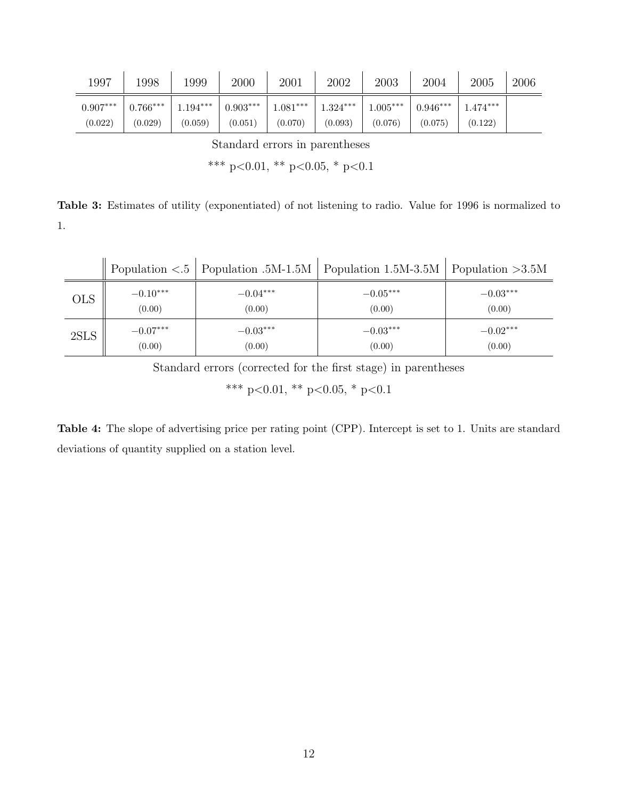<span id="page-11-0"></span>

| 1997       | 1998       | 1999       | 2000       | 2001      | 2002       | 2003       | 2004       | $2005\,$   | 2006 |
|------------|------------|------------|------------|-----------|------------|------------|------------|------------|------|
| $0.907***$ | $0.766***$ | $1.194***$ | $0.903***$ | $.081***$ | $1.324***$ | $1.005***$ | $0.946***$ | $1.474***$ |      |
| (0.022)    | (0.029)    | (0.059)    | (0.051)    | (0.070)   | (0.093)    | (0.076)    | (0.075)    | (0.122)    |      |

\*\*\* p<0.01, \*\* p<0.05, \* p<0.1

Table 3: Estimates of utility (exponentiated) of not listening to radio. Value for 1996 is normalized to 1.

<span id="page-11-1"></span>

|            |            |            | Population $\langle 0.5 \rangle$ Population $0.5M - 1.5M$ Population $1.5M - 3.5M$ Population $>3.5M$ |            |
|------------|------------|------------|-------------------------------------------------------------------------------------------------------|------------|
| <b>OLS</b> | $-0.10***$ | $-0.04***$ | $-0.05***$                                                                                            | $-0.03***$ |
|            | (0.00)     | (0.00)     | (0.00)                                                                                                | (0.00)     |
| 2SLS       | $-0.07***$ | $-0.03***$ | $-0.03***$                                                                                            | $-0.02***$ |
|            | (0.00)     | (0.00)     | (0.00)                                                                                                | (0.00)     |

Standard errors (corrected for the first stage) in parentheses

\*\*\* p<0.01, \*\* p<0.05, \* p<0.1

Table 4: The slope of advertising price per rating point (CPP). Intercept is set to 1. Units are standard deviations of quantity supplied on a station level.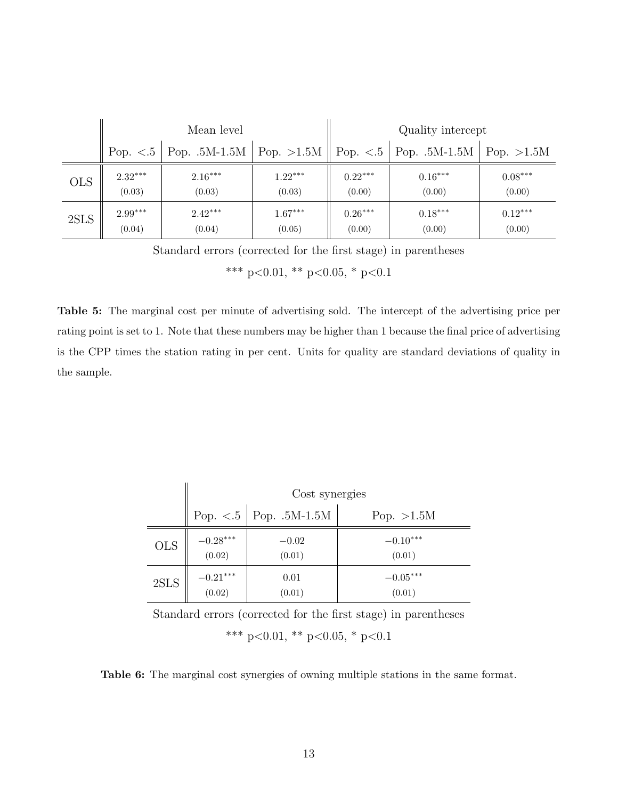<span id="page-12-0"></span>

|            |           | Mean level                                                 |           |           | Quality intercept          |           |
|------------|-----------|------------------------------------------------------------|-----------|-----------|----------------------------|-----------|
|            |           | Pop. $\lt.5$   Pop. .5M-1.5M   Pop. $>1.5M$   Pop. $\lt.5$ |           |           | Pop. .5M-1.5M   Pop. >1.5M |           |
| <b>OLS</b> | $2.32***$ | $2.16***$                                                  | $1.22***$ | $0.22***$ | $0.16***$                  | $0.08***$ |
|            | (0.03)    | (0.03)                                                     | (0.03)    | (0.00)    | (0.00)                     | (0.00)    |
| 2SLS       | $2.99***$ | $2.42***$                                                  | $1.67***$ | $0.26***$ | $0.18***$                  | $0.12***$ |
|            | (0.04)    | (0.04)                                                     | (0.05)    | (0.00)    | (0.00)                     | (0.00)    |

Standard errors (corrected for the first stage) in parentheses

\*\*\* p<0.01, \*\* p<0.05, \* p<0.1

Table 5: The marginal cost per minute of advertising sold. The intercept of the advertising price per rating point is set to 1. Note that these numbers may be higher than 1 because the final price of advertising is the CPP times the station rating in per cent. Units for quality are standard deviations of quality in the sample.

<span id="page-12-1"></span>

|              | Cost synergies |                                                            |              |  |  |
|--------------|----------------|------------------------------------------------------------|--------------|--|--|
|              |                | Pop. $<\!\! .5$   Pop. $.5\mathrm{M}\text{-}1.5\mathrm{M}$ | Pop. $>1.5M$ |  |  |
| <b>OLS</b>   | $-0.28***$     | $-0.02$                                                    | $-0.10***$   |  |  |
|              | (0.02)         | (0.01)                                                     | (0.01)       |  |  |
| $2{\rm SLS}$ | $-0.21***$     | 0.01                                                       | $-0.05***$   |  |  |
|              | (0.02)         | (0.01)                                                     | (0.01)       |  |  |

Standard errors (corrected for the first stage) in parentheses \*\*\* p<0.01, \*\* p<0.05, \* p<0.1

Table 6: The marginal cost synergies of owning multiple stations in the same format.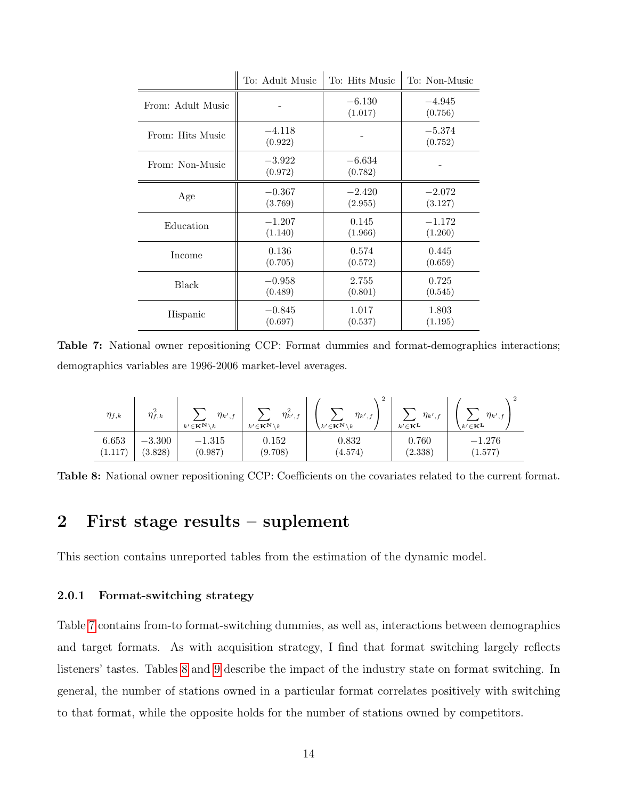<span id="page-13-0"></span>

|                   | To: Adult Music     | To: Hits Music      | To: Non-Music       |
|-------------------|---------------------|---------------------|---------------------|
| From: Adult Music |                     | $-6.130$<br>(1.017) | $-4.945$<br>(0.756) |
| From: Hits Music  | $-4.118$<br>(0.922) |                     | $-5.374$<br>(0.752) |
| From: Non-Music   | $-3.922$<br>(0.972) | $-6.634$<br>(0.782) |                     |
| Age               | $-0.367$            | $-2.420$            | $-2.072$            |
|                   | (3.769)             | (2.955)             | (3.127)             |
| Education         | $-1.207$            | 0.145               | $-1.172$            |
|                   | (1.140)             | (1.966)             | (1.260)             |
| Income            | 0.136               | 0.574               | 0.445               |
|                   | (0.705)             | (0.572)             | (0.659)             |
| <b>Black</b>      | $-0.958$            | 2.755               | 0.725               |
|                   | (0.489)             | (0.801)             | (0.545)             |
| Hispanic          | $-0.845$            | 1.017               | 1.803               |
|                   | (0.697)             | (0.537)             | (1.195)             |

Table 7: National owner repositioning CCP: Format dummies and format-demographics interactions; demographics variables are 1996-2006 market-level averages.

<span id="page-13-1"></span>

| $\eta_{f,k}$ | $\eta_{f,k}$ | $\eta_{k',f}$<br>$k' \in K^{\mathbf{N}} \setminus k$ | $\eta^2_{k',f}$<br>$k' \in \mathbf{K}^{\mathbf{N}} \setminus k$ | 2<br>$\eta_{k',f}$<br>$k'\!\in\!{\mathbf{K}}^{\mathbf{N}}\!\setminus\!k$ | $\eta_{k',f}$<br>$k' \in \mathbf{K}^{\mathbf{L}}$ | $\eta_{k',f}$<br>$k' \in \mathbf{K}^{\mathbf{L}}$ |
|--------------|--------------|------------------------------------------------------|-----------------------------------------------------------------|--------------------------------------------------------------------------|---------------------------------------------------|---------------------------------------------------|
| 6.653        | $-3.300$     | $-1.315$                                             | 0.152                                                           | 0.832                                                                    | 0.760                                             | $-1.276$                                          |
| 1.117        | (3.828)      | (0.987)                                              | (9.708)                                                         | (4.574)                                                                  | (2.338)                                           | (1.577)                                           |

Table 8: National owner repositioning CCP: Coefficients on the covariates related to the current format.

### 2 First stage results – suplement

This section contains unreported tables from the estimation of the dynamic model.

#### 2.0.1 Format-switching strategy

Table [7](#page-13-0) contains from-to format-switching dummies, as well as, interactions between demographics and target formats. As with acquisition strategy, I find that format switching largely reflects listeners' tastes. Tables [8](#page-13-1) and [9](#page-14-0) describe the impact of the industry state on format switching. In general, the number of stations owned in a particular format correlates positively with switching to that format, while the opposite holds for the number of stations owned by competitors.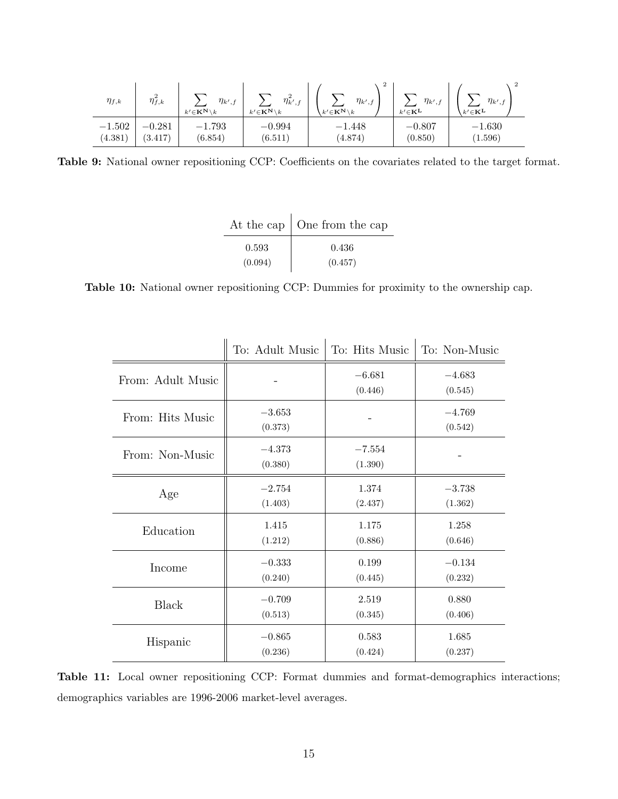<span id="page-14-0"></span>

| $\eta_{f,k}$ | $\eta_{f,k}^-$ | $\eta_{k',f}$<br>$k' \in K^{\mathbf{N}} \setminus k$ | $\eta^2_{k',f}$<br>$k' \in K^{\mathbf{N}} \setminus k$ | ▵<br>$\eta_{k',f}$<br>$k' \in K^{\mathbf{N}} \setminus k$ | $\eta_{k',j}$<br>$k' \in \mathbf{K}^{\mathbf{L}}$ | $\eta_{k',f}$<br>$k' \in \mathbf{K}^{\mathbf{L}}$ |
|--------------|----------------|------------------------------------------------------|--------------------------------------------------------|-----------------------------------------------------------|---------------------------------------------------|---------------------------------------------------|
| $-1.502$     | $-0.281$       | $-1.793$                                             | $-0.994$                                               | $-1.448$                                                  | $-0.807$                                          | $-1.630$                                          |
| (4.381)      | (3.417)        | (6.854)                                              | (6.511)                                                | (4.874)                                                   | (0.850)                                           | (1.596)                                           |

Table 9: National owner repositioning CCP: Coefficients on the covariates related to the target format.

|         | At the cap $\vert$ One from the cap |
|---------|-------------------------------------|
| 0.593   | 0.436                               |
| (0.094) | (0.457)                             |

<span id="page-14-1"></span>Table 10: National owner repositioning CCP: Dummies for proximity to the ownership cap.

|                   | To: Adult Music     | To: Hits Music      | To: Non-Music       |
|-------------------|---------------------|---------------------|---------------------|
| From: Adult Music |                     | $-6.681$<br>(0.446) | $-4.683$<br>(0.545) |
| From: Hits Music  | $-3.653$<br>(0.373) |                     | $-4.769$<br>(0.542) |
| From: Non-Music   | $-4.373$<br>(0.380) | $-7.554$<br>(1.390) |                     |
| Age               | $-2.754$            | 1.374               | $-3.738$            |
|                   | (1.403)             | (2.437)             | (1.362)             |
| Education         | 1.415               | 1.175               | 1.258               |
|                   | (1.212)             | (0.886)             | (0.646)             |
| Income            | $-0.333$            | 0.199               | $-0.134$            |
|                   | (0.240)             | (0.445)             | (0.232)             |
| <b>Black</b>      | $-0.709$            | 2.519               | 0.880               |
|                   | (0.513)             | (0.345)             | (0.406)             |
| Hispanic          | $-0.865$            | 0.583               | 1.685               |
|                   | (0.236)             | (0.424)             | (0.237)             |

Table 11: Local owner repositioning CCP: Format dummies and format-demographics interactions; demographics variables are 1996-2006 market-level averages.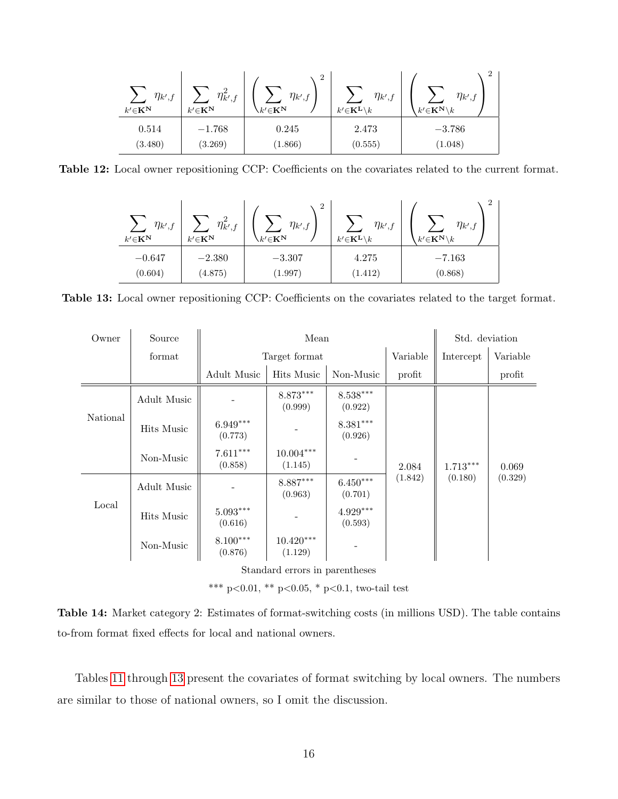| $\eta_{k',f}$<br>$k'{\in}\mathbf{K}^{\mathbf{N}}$ | $\Omega$<br>$\eta_{k',j}$<br>$k'{\in}\mathbf{K}^{\mathbf{N}}$ | റ<br>▵<br>$\eta_{k',f}$<br>$\kappa' {\in} {\bf K}^{{\bf N}}$ | $\eta_{k',f}$<br>$k'{\in}\mathbf{K}^{\mathbf{L}}\backslash k$ | ∠<br>$\eta_{k',f}$<br>$k'{\in}\mathbf{K}^{\mathbf{N}}\backslash k$ |
|---------------------------------------------------|---------------------------------------------------------------|--------------------------------------------------------------|---------------------------------------------------------------|--------------------------------------------------------------------|
| 0.514                                             | $-1.768$                                                      | 0.245                                                        | 2.473                                                         | $-3.786$                                                           |
| (3.480)                                           | (3.269)                                                       | (1.866)                                                      | (0.555)                                                       | (1.048)                                                            |

<span id="page-15-0"></span>Table 12: Local owner repositioning CCP: Coefficients on the covariates related to the current format.

| $\eta_{k',j}$<br>$k'{\in}\mathbf{K}^{\mathbf{N}}$ | $\eta^z_{k',j}$<br>$k'{\in}\mathbf{K}^{\mathbf{N}}$ | $\overline{2}$<br>$\eta_{k',f}$<br>$\forall k' \in \mathbf{K^N}$ | $\eta_{k',j}$<br>$k'{\in}\mathbf{K}^{\mathbf{L}}\backslash k$ | $\eta_{k',f}$<br>$k^\prime{\in}\mathbf{K}^\mathbf{N}\backslash k$ |
|---------------------------------------------------|-----------------------------------------------------|------------------------------------------------------------------|---------------------------------------------------------------|-------------------------------------------------------------------|
| $-0.647$                                          | $-2.380$                                            | $-3.307$                                                         | 4.275                                                         | $-7.163$                                                          |
| (0.604)                                           | (4.875)                                             | (1.997)                                                          | (1.412)                                                       | (0.868)                                                           |

Table 13: Local owner repositioning CCP: Coefficients on the covariates related to the target format.

| Owner    | Source                         |                                   | Mean                   |                                   | Std. deviation |            |          |  |  |
|----------|--------------------------------|-----------------------------------|------------------------|-----------------------------------|----------------|------------|----------|--|--|
|          | format                         |                                   | Target format          |                                   | Variable       | Intercept  | Variable |  |  |
|          |                                | Adult Music                       | Hits Music             | Non-Music                         | profit         |            | profit   |  |  |
| National | Adult Music                    |                                   | $8.873***$<br>(0.999)  | $8.538***$<br>(0.922)             |                |            | 0.069    |  |  |
|          | Hits Music                     | $6.949***$<br>(0.773)             |                        | $8.381***$<br>(0.926)             |                | $1.713***$ |          |  |  |
|          | Non-Music                      | $7.611***$<br>(0.858)             | $10.004***$<br>(1.145) |                                   | 2.084          |            |          |  |  |
|          | Adult Music                    |                                   | $8.887***$<br>(0.963)  | $6.450^{\ast\ast\ast}$<br>(0.701) | (1.842)        | (0.180)    | (0.329)  |  |  |
| Local    | Hits Music                     | $5.093^{\ast\ast\ast}$<br>(0.616) |                        | $4.929***$<br>(0.593)             |                |            |          |  |  |
|          | Non-Music                      | $8.100***$<br>(0.876)             | $10.420***$<br>(1.129) |                                   |                |            |          |  |  |
|          | Standard errors in parentheses |                                   |                        |                                   |                |            |          |  |  |

\*\*\* p<0.01, \*\* p<0.05, \* p<0.1, two-tail test

|  |                                                             |  | <b>Table 14:</b> Market category 2: Estimates of format-switching costs (in millions USD). The table contains |  |  |  |  |
|--|-------------------------------------------------------------|--|---------------------------------------------------------------------------------------------------------------|--|--|--|--|
|  | to-from format fixed effects for local and national owners. |  |                                                                                                               |  |  |  |  |

Tables [11](#page-14-1) through [13](#page-15-0) present the covariates of format switching by local owners. The numbers are similar to those of national owners, so I omit the discussion.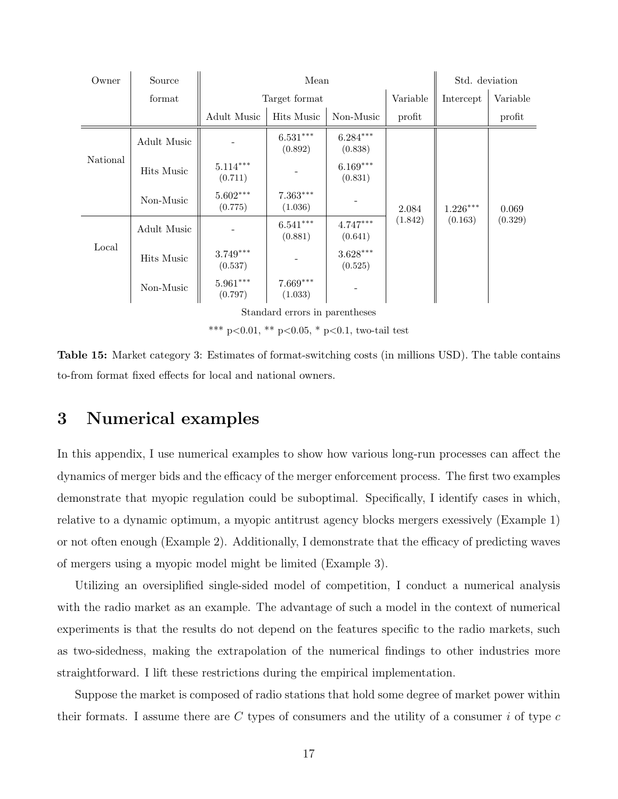| Source      |                                   |                       |                       | Std. deviation |                       |                  |
|-------------|-----------------------------------|-----------------------|-----------------------|----------------|-----------------------|------------------|
| format      |                                   |                       | Intercept             | Variable       |                       |                  |
|             | Adult Music                       | Hits Music            | Non-Music             | profit         |                       | profit           |
| Adult Music |                                   | $6.531***$<br>(0.892) | $6.284***$<br>(0.838) |                |                       | 0.069<br>(0.329) |
| Hits Music  | $5.114***$<br>(0.711)             |                       | $6.169***$<br>(0.831) |                | $1.226***$<br>(0.163) |                  |
| Non-Music   | $5.602^{\ast\ast\ast}$<br>(0.775) | $7.363***$<br>(1.036) |                       | 2.084          |                       |                  |
| Adult Music |                                   | $6.541***$<br>(0.881) | $4.747***$<br>(0.641) | (1.842)        |                       |                  |
| Hits Music  | $3.749^{\ast\ast\ast}$<br>(0.537) |                       | $3.628***$<br>(0.525) |                |                       |                  |
| Non-Music   | $5.961^{\ast\ast\ast}$<br>(0.797) | $7.669***$<br>(1.033) |                       |                |                       |                  |
|             |                                   |                       | Target format         | Mean           | Variable              |                  |

\*\*\* p<0.01, \*\* p<0.05, \* p<0.1, two-tail test

Table 15: Market category 3: Estimates of format-switching costs (in millions USD). The table contains to-from format fixed effects for local and national owners.

## 3 Numerical examples

In this appendix, I use numerical examples to show how various long-run processes can affect the dynamics of merger bids and the efficacy of the merger enforcement process. The first two examples demonstrate that myopic regulation could be suboptimal. Specifically, I identify cases in which, relative to a dynamic optimum, a myopic antitrust agency blocks mergers exessively (Example 1) or not often enough (Example 2). Additionally, I demonstrate that the efficacy of predicting waves of mergers using a myopic model might be limited (Example 3).

Utilizing an oversiplified single-sided model of competition, I conduct a numerical analysis with the radio market as an example. The advantage of such a model in the context of numerical experiments is that the results do not depend on the features specific to the radio markets, such as two-sidedness, making the extrapolation of the numerical findings to other industries more straightforward. I lift these restrictions during the empirical implementation.

Suppose the market is composed of radio stations that hold some degree of market power within their formats. I assume there are C types of consumers and the utility of a consumer i of type  $c$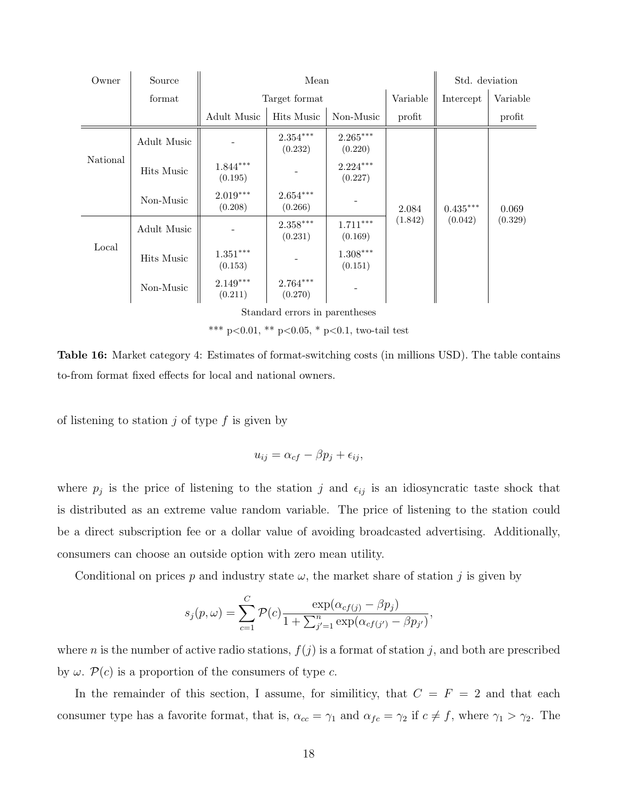| Owner    | Source      |                                   | Mean                              |                       | Std. deviation |            |          |
|----------|-------------|-----------------------------------|-----------------------------------|-----------------------|----------------|------------|----------|
|          | format      |                                   | Target format                     |                       | Variable       | Intercept  | Variable |
|          |             | Adult Music                       | Hits Music                        | Non-Music             | profit         |            | profit   |
| National | Adult Music |                                   | $2.354^{\ast\ast\ast}$<br>(0.232) | $2.265***$<br>(0.220) |                |            | 0.069    |
|          | Hits Music  | $1.844***$<br>(0.195)             |                                   | $2.224***$<br>(0.227) |                |            |          |
|          | Non-Music   | $2.019***$<br>(0.208)             | $2.654^{\ast\ast\ast}$<br>(0.266) |                       | 2.084          | $0.435***$ |          |
|          | Adult Music |                                   | $2.358***$<br>(0.231)             | $1.711***$<br>(0.169) | (1.842)        | (0.042)    | (0.329)  |
| Local    | Hits Music  | $1.351^{\ast\ast\ast}$<br>(0.153) |                                   | $1.308***$<br>(0.151) |                |            |          |
|          | Non-Music   | $2.149***$<br>(0.211)             | $2.764***$<br>(0.270)             |                       |                |            |          |

\*\*\* p<0.01, \*\* p<0.05, \* p<0.1, two-tail test

Table 16: Market category 4: Estimates of format-switching costs (in millions USD). The table contains to-from format fixed effects for local and national owners.

of listening to station  $j$  of type  $f$  is given by

$$
u_{ij} = \alpha_{cf} - \beta p_j + \epsilon_{ij},
$$

where  $p_j$  is the price of listening to the station j and  $\epsilon_{ij}$  is an idiosyncratic taste shock that is distributed as an extreme value random variable. The price of listening to the station could be a direct subscription fee or a dollar value of avoiding broadcasted advertising. Additionally, consumers can choose an outside option with zero mean utility.

Conditional on prices p and industry state  $\omega$ , the market share of station j is given by

$$
s_j(p,\omega) = \sum_{c=1}^{C} \mathcal{P}(c) \frac{\exp(\alpha_{cf(j)} - \beta p_j)}{1 + \sum_{j'=1}^{n} \exp(\alpha_{cf(j')} - \beta p_{j'})},
$$

where *n* is the number of active radio stations,  $f(j)$  is a format of station *j*, and both are prescribed by  $\omega$ .  $\mathcal{P}(c)$  is a proportion of the consumers of type c.

In the remainder of this section, I assume, for similiticy, that  $C = F = 2$  and that each consumer type has a favorite format, that is,  $\alpha_{cc} = \gamma_1$  and  $\alpha_{fc} = \gamma_2$  if  $c \neq f$ , where  $\gamma_1 > \gamma_2$ . The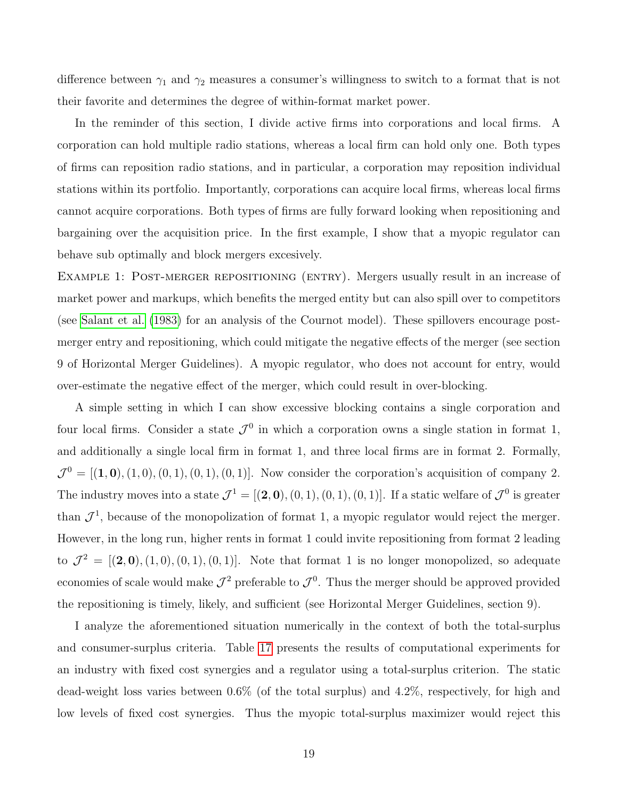difference between  $\gamma_1$  and  $\gamma_2$  measures a consumer's willingness to switch to a format that is not their favorite and determines the degree of within-format market power.

In the reminder of this section, I divide active firms into corporations and local firms. A corporation can hold multiple radio stations, whereas a local firm can hold only one. Both types of firms can reposition radio stations, and in particular, a corporation may reposition individual stations within its portfolio. Importantly, corporations can acquire local firms, whereas local firms cannot acquire corporations. Both types of firms are fully forward looking when repositioning and bargaining over the acquisition price. In the first example, I show that a myopic regulator can behave sub optimally and block mergers excesively.

EXAMPLE 1: POST-MERGER REPOSITIONING (ENTRY). Mergers usually result in an increase of market power and markups, which benefits the merged entity but can also spill over to competitors (see [Salant et al.](#page-26-4) [\(1983\)](#page-26-4) for an analysis of the Cournot model). These spillovers encourage postmerger entry and repositioning, which could mitigate the negative effects of the merger (see section 9 of Horizontal Merger Guidelines). A myopic regulator, who does not account for entry, would over-estimate the negative effect of the merger, which could result in over-blocking.

A simple setting in which I can show excessive blocking contains a single corporation and four local firms. Consider a state  $\mathcal{J}^0$  in which a corporation owns a single station in format 1, and additionally a single local firm in format 1, and three local firms are in format 2. Formally,  $\mathcal{J}^0 = [(1,0), (1,0), (0,1), (0,1), (0,1)].$  Now consider the corporation's acquisition of company 2. The industry moves into a state  $\mathcal{J}^1 = [(2,0), (0,1), (0,1), (0,1)]$ . If a static welfare of  $\mathcal{J}^0$  is greater than  $\mathcal{J}^1$ , because of the monopolization of format 1, a myopic regulator would reject the merger. However, in the long run, higher rents in format 1 could invite repositioning from format 2 leading to  $\mathcal{J}^2 = [(2,0), (1,0), (0,1), (0,1)].$  Note that format 1 is no longer monopolized, so adequate economies of scale would make  $\mathcal{J}^2$  preferable to  $\mathcal{J}^0$ . Thus the merger should be approved provided the repositioning is timely, likely, and sufficient (see Horizontal Merger Guidelines, section 9).

I analyze the aforementioned situation numerically in the context of both the total-surplus and consumer-surplus criteria. Table [17](#page-20-0) presents the results of computational experiments for an industry with fixed cost synergies and a regulator using a total-surplus criterion. The static dead-weight loss varies between 0.6% (of the total surplus) and 4.2%, respectively, for high and low levels of fixed cost synergies. Thus the myopic total-surplus maximizer would reject this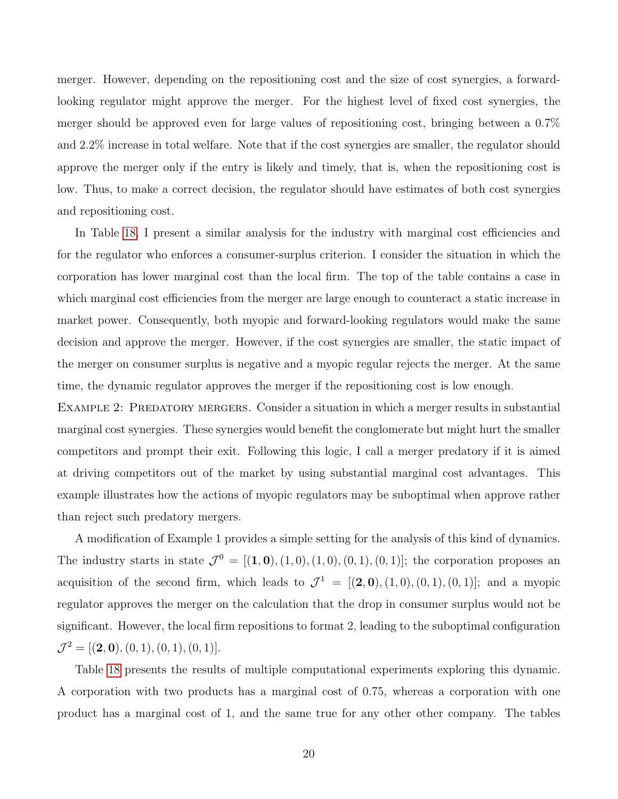merger. However, depending on the repositioning cost and the size of cost synergies, a forwardlooking regulator might approve the merger. For the highest level of fixed cost synergies, the merger should be approved even for large values of repositioning cost, bringing between a 0.7% and 2.2% increase in total welfare. Note that if the cost synergies are smaller, the regulator should approve the merger only if the entry is likely and timely, that is, when the repositioning cost is low. Thus, to make a correct decision, the regulator should have estimates of both cost synergies and repositioning cost.

In Table [18,](#page-21-0) I present a similar analysis for the industry with marginal cost efficiencies and for the regulator who enforces a consumer-surplus criterion. I consider the situation in which the corporation has lower marginal cost than the local firm. The top of the table contains a case in which marginal cost efficiencies from the merger are large enough to counteract a static increase in market power. Consequently, both myopic and forward-looking regulators would make the same decision and approve the merger. However, if the cost synergies are smaller, the static impact of the merger on consumer surplus is negative and a myopic regular rejects the merger. At the same time, the dynamic regulator approves the merger if the repositioning cost is low enough.

EXAMPLE 2: PREDATORY MERGERS. Consider a situation in which a merger results in substantial marginal cost synergies. These synergies would benefit the conglomerate but might hurt the smaller competitors and prompt their exit. Following this logic, I call a merger predatory if it is aimed at driving competitors out of the market by using substantial marginal cost advantages. This example illustrates how the actions of myopic regulators may be suboptimal when approve rather than reject such predatory mergers.

A modification of Example 1 provides a simple setting for the analysis of this kind of dynamics. The industry starts in state  $\mathcal{J}^0 = [(1,0), (1,0), (1,0), (0,1), (0,1)]$ ; the corporation proposes an acquisition of the second firm, which leads to  $\mathcal{J}^1 = [(2,0), (1,0), (0,1), (0,1)]$ ; and a myopic regulator approves the merger on the calculation that the drop in consumer surplus would not be significant. However, the local firm repositions to format 2, leading to the suboptimal configuration  $\mathcal{J}^2 = [(2,0), (0,1), (0,1), (0,1)].$ 

Table [18](#page-21-0) presents the results of multiple computational experiments exploring this dynamic. A corporation with two products has a marginal cost of 0.75, whereas a corporation with one product has a marginal cost of 1, and the same true for any other other company. The tables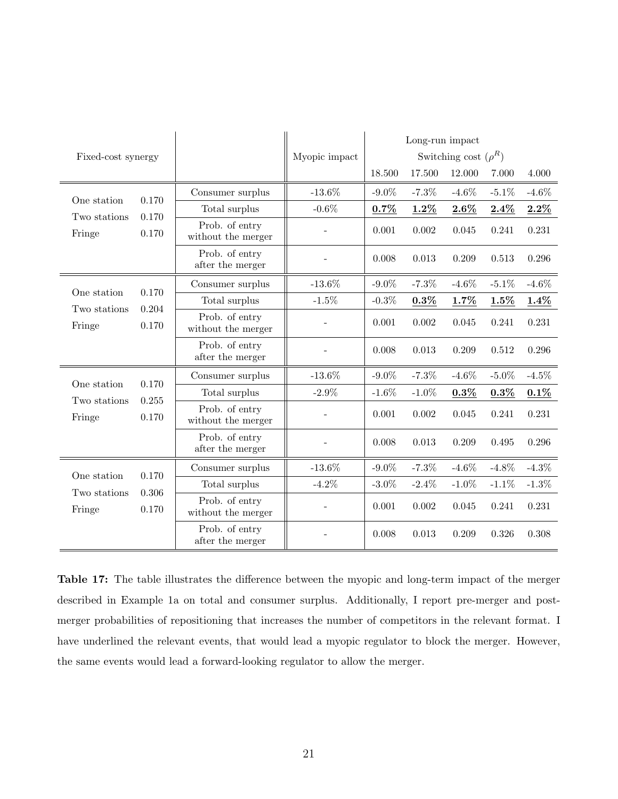<span id="page-20-0"></span>

|                        |                |                                      |               | Long-run impact           |          |          |          |          |  |
|------------------------|----------------|--------------------------------------|---------------|---------------------------|----------|----------|----------|----------|--|
| Fixed-cost synergy     |                |                                      | Myopic impact | Switching cost $(\rho^R)$ |          |          |          |          |  |
|                        |                |                                      |               | 18.500                    | 17.500   | 12.000   | 7.000    | 4.000    |  |
| One station            | 0.170          | Consumer surplus                     | $-13.6\%$     | $-9.0\%$                  | $-7.3%$  | $-4.6\%$ | $-5.1\%$ | $-4.6\%$ |  |
|                        |                | Total surplus                        | $-0.6\%$      | 0.7%                      | $1.2\%$  | $2.6\%$  | 2.4%     | $2.2\%$  |  |
| Two stations<br>Fringe | 0.170<br>0.170 | Prob. of entry<br>without the merger |               | 0.001                     | 0.002    | 0.045    | 0.241    | 0.231    |  |
|                        |                | Prob. of entry<br>after the merger   |               | 0.008                     | 0.013    | 0.209    | 0.513    | 0.296    |  |
|                        |                | Consumer surplus                     | $-13.6\%$     | $-9.0\%$                  | $-7.3%$  | $-4.6\%$ | $-5.1\%$ | $-4.6\%$ |  |
| One station            | 0.170<br>0.204 | Total surplus                        | $-1.5\%$      | $-0.3\%$                  | $0.3\%$  | 1.7%     | $1.5\%$  | $1.4\%$  |  |
| Two stations<br>Fringe | 0.170          | Prob. of entry<br>without the merger |               | 0.001                     | 0.002    | 0.045    | 0.241    | 0.231    |  |
|                        |                | Prob. of entry<br>after the merger   |               | 0.008                     | 0.013    | 0.209    | 0.512    | 0.296    |  |
|                        | 0.170          | Consumer surplus                     | $-13.6\%$     | $-9.0\%$                  | $-7.3\%$ | $-4.6\%$ | $-5.0\%$ | $-4.5\%$ |  |
| One station            |                | Total surplus                        | $-2.9\%$      | $-1.6\%$                  | $-1.0\%$ | $0.3\%$  | $0.3\%$  | $0.1\%$  |  |
| Two stations<br>Fringe | 0.255<br>0.170 | Prob. of entry<br>without the merger |               | 0.001                     | 0.002    | 0.045    | 0.241    | 0.231    |  |
|                        |                | Prob. of entry<br>after the merger   |               | 0.008                     | 0.013    | 0.209    | 0.495    | 0.296    |  |
|                        |                | Consumer surplus                     | $-13.6\%$     | $-9.0\%$                  | $-7.3%$  | $-4.6\%$ | $-4.8\%$ | $-4.3\%$ |  |
| One station            | 0.170          | Total surplus                        | $-4.2\%$      | $-3.0\%$                  | $-2.4%$  | $-1.0\%$ | $-1.1\%$ | $-1.3\%$ |  |
| Two stations<br>Fringe | 0.306<br>0.170 | Prob. of entry<br>without the merger |               | 0.001                     | 0.002    | 0.045    | 0.241    | 0.231    |  |
|                        |                | Prob. of entry<br>after the merger   |               | 0.008                     | 0.013    | 0.209    | 0.326    | 0.308    |  |

Table 17: The table illustrates the difference between the myopic and long-term impact of the merger described in Example 1a on total and consumer surplus. Additionally, I report pre-merger and postmerger probabilities of repositioning that increases the number of competitors in the relevant format. I have underlined the relevant events, that would lead a myopic regulator to block the merger. However, the same events would lead a forward-looking regulator to allow the merger.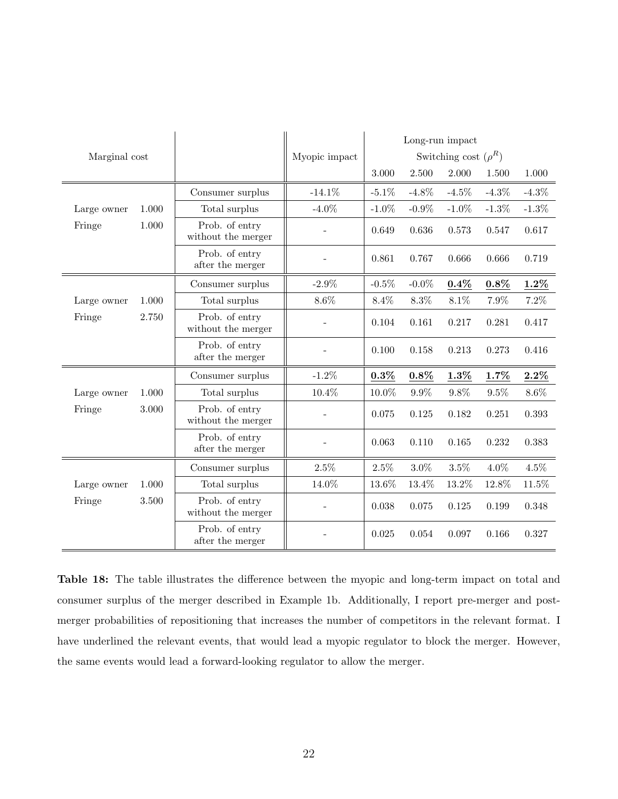<span id="page-21-0"></span>

|               |       |                                      |               | Long-run impact |          |                           |          |          |  |
|---------------|-------|--------------------------------------|---------------|-----------------|----------|---------------------------|----------|----------|--|
| Marginal cost |       |                                      | Myopic impact |                 |          | Switching cost $(\rho^R)$ |          |          |  |
|               |       |                                      |               | 3.000           | 2.500    | 2.000                     | 1.500    | 1.000    |  |
|               |       | Consumer surplus                     | $-14.1\%$     | $-5.1\%$        | $-4.8\%$ | $-4.5\%$                  | $-4.3\%$ | $-4.3\%$ |  |
| Large owner   | 1.000 | Total surplus                        | $-4.0\%$      | $-1.0\%$        | $-0.9\%$ | $-1.0\%$                  | $-1.3\%$ | $-1.3\%$ |  |
| Fringe        | 1.000 | Prob. of entry<br>without the merger |               | 0.649           | 0.636    | 0.573                     | 0.547    | 0.617    |  |
|               |       | Prob. of entry<br>after the merger   |               | 0.861           | 0.767    | 0.666                     | 0.666    | 0.719    |  |
|               |       | Consumer surplus                     | $-2.9\%$      | $-0.5\%$        | $-0.0\%$ | $0.4\%$                   | $0.8\%$  | $1.2\%$  |  |
| Large owner   | 1.000 | Total surplus                        | $8.6\%$       | $8.4\%$         | $8.3\%$  | $8.1\%$                   | 7.9%     | $7.2\%$  |  |
| Fringe        | 2.750 | Prob. of entry<br>without the merger |               | 0.104           | 0.161    | 0.217                     | 0.281    | 0.417    |  |
|               |       | Prob. of entry<br>after the merger   |               | 0.100           | 0.158    | 0.213                     | 0.273    | 0.416    |  |
|               |       | Consumer surplus                     | $-1.2\%$      | $0.3\%$         | $0.8\%$  | $1.3\%$                   | 1.7%     | $2.2\%$  |  |
| Large owner   | 1.000 | Total surplus                        | 10.4%         | 10.0%           | $9.9\%$  | $9.8\%$                   | $9.5\%$  | $8.6\%$  |  |
| Fringe        | 3.000 | Prob. of entry<br>without the merger |               | 0.075           | 0.125    | 0.182                     | 0.251    | 0.393    |  |
|               |       | Prob. of entry<br>after the merger   |               | 0.063           | 0.110    | 0.165                     | 0.232    | 0.383    |  |
|               |       | Consumer surplus                     | $2.5\%$       | $2.5\%$         | $3.0\%$  | $3.5\%$                   | $4.0\%$  | $4.5\%$  |  |
| Large owner   | 1.000 | Total surplus                        | 14.0%         | 13.6%           | 13.4%    | 13.2%                     | 12.8%    | 11.5%    |  |
| Fringe        | 3.500 | Prob. of entry<br>without the merger |               | 0.038           | 0.075    | 0.125                     | 0.199    | 0.348    |  |
|               |       | Prob. of entry<br>after the merger   |               | 0.025           | 0.054    | 0.097                     | 0.166    | 0.327    |  |

Table 18: The table illustrates the difference between the myopic and long-term impact on total and consumer surplus of the merger described in Example 1b. Additionally, I report pre-merger and postmerger probabilities of repositioning that increases the number of competitors in the relevant format. I have underlined the relevant events, that would lead a myopic regulator to block the merger. However, the same events would lead a forward-looking regulator to allow the merger.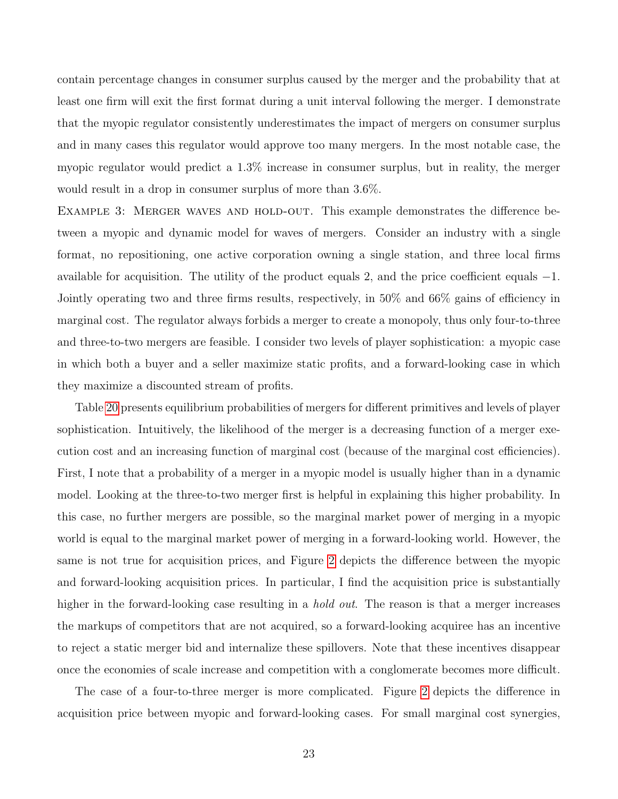contain percentage changes in consumer surplus caused by the merger and the probability that at least one firm will exit the first format during a unit interval following the merger. I demonstrate that the myopic regulator consistently underestimates the impact of mergers on consumer surplus and in many cases this regulator would approve too many mergers. In the most notable case, the myopic regulator would predict a 1.3% increase in consumer surplus, but in reality, the merger would result in a drop in consumer surplus of more than 3.6%.

EXAMPLE 3: MERGER WAVES AND HOLD-OUT. This example demonstrates the difference between a myopic and dynamic model for waves of mergers. Consider an industry with a single format, no repositioning, one active corporation owning a single station, and three local firms available for acquisition. The utility of the product equals 2, and the price coefficient equals −1. Jointly operating two and three firms results, respectively, in 50% and 66% gains of efficiency in marginal cost. The regulator always forbids a merger to create a monopoly, thus only four-to-three and three-to-two mergers are feasible. I consider two levels of player sophistication: a myopic case in which both a buyer and a seller maximize static profits, and a forward-looking case in which they maximize a discounted stream of profits.

Table [20](#page-24-0) presents equilibrium probabilities of mergers for different primitives and levels of player sophistication. Intuitively, the likelihood of the merger is a decreasing function of a merger execution cost and an increasing function of marginal cost (because of the marginal cost efficiencies). First, I note that a probability of a merger in a myopic model is usually higher than in a dynamic model. Looking at the three-to-two merger first is helpful in explaining this higher probability. In this case, no further mergers are possible, so the marginal market power of merging in a myopic world is equal to the marginal market power of merging in a forward-looking world. However, the same is not true for acquisition prices, and Figure [2](#page-25-0) depicts the difference between the myopic and forward-looking acquisition prices. In particular, I find the acquisition price is substantially higher in the forward-looking case resulting in a *hold out*. The reason is that a merger increases the markups of competitors that are not acquired, so a forward-looking acquiree has an incentive to reject a static merger bid and internalize these spillovers. Note that these incentives disappear once the economies of scale increase and competition with a conglomerate becomes more difficult.

The case of a four-to-three merger is more complicated. Figure [2](#page-25-0) depicts the difference in acquisition price between myopic and forward-looking cases. For small marginal cost synergies,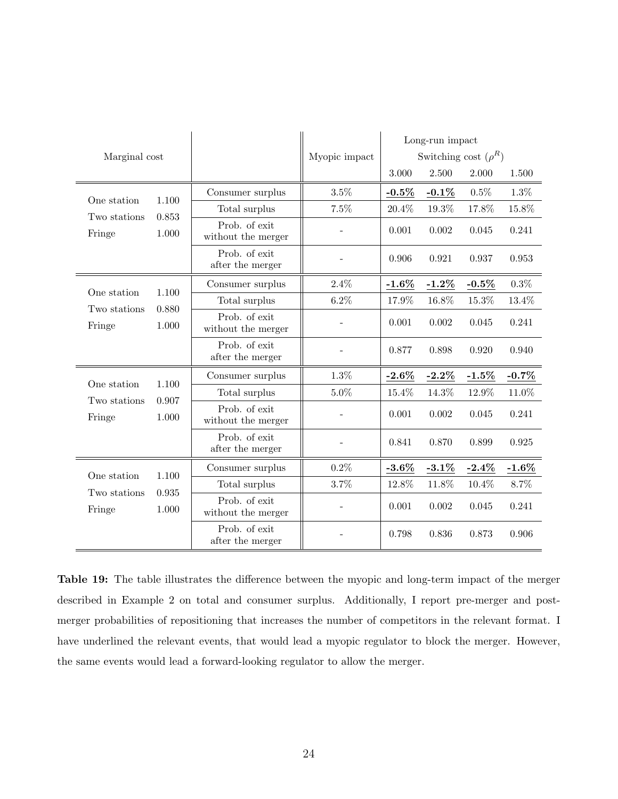| Marginal cost          |                         |                                     | Myopic impact |                   | Long-run impact<br>Switching cost $(\rho^R)$ |          |          |  |  |
|------------------------|-------------------------|-------------------------------------|---------------|-------------------|----------------------------------------------|----------|----------|--|--|
|                        |                         |                                     |               | 3.000             | 2.500                                        | 2.000    | 1.500    |  |  |
| One station            | 1.100                   | Consumer surplus                    | 3.5%          | $-0.5\%$          | $-0.1\%$                                     | 0.5%     | $1.3\%$  |  |  |
| Two stations           | 0.853                   | Total surplus                       | 7.5%          | 20.4%             | 19.3%                                        | 17.8%    | 15.8%    |  |  |
| Fringe                 | 1.000                   | Prob. of exit<br>without the merger |               | 0.001             | 0.002                                        | 0.045    | 0.241    |  |  |
|                        |                         | Prob. of exit<br>after the merger   |               | 0.906             | 0.921                                        | 0.937    | 0.953    |  |  |
|                        |                         | Consumer surplus                    | 2.4%          | $-1.6\%$          | $-1.2\%$                                     | $-0.5\%$ | $0.3\%$  |  |  |
| One station            | 1.100<br>0.880<br>1.000 | Total surplus                       | $6.2\%$       | 17.9%             | 16.8%                                        | $15.3\%$ | 13.4%    |  |  |
| Two stations<br>Fringe |                         | Prob. of exit<br>without the merger |               | 0.001             | 0.002                                        | 0.045    | 0.241    |  |  |
|                        |                         | Prob. of exit<br>after the merger   |               | 0.877             | 0.898                                        | 0.920    | 0.940    |  |  |
|                        |                         | Consumer surplus                    | $1.3\%$       | $-2.6\%$          | $-2.2\%$                                     | $-1.5%$  | $-0.7\%$ |  |  |
| One station            | 1.100                   | Total surplus                       | $5.0\%$       | 15.4%             | 14.3%                                        | 12.9%    | $11.0\%$ |  |  |
| Two stations<br>Fringe | 0.907<br>1.000          | Prob. of exit<br>without the merger |               | 0.001             | 0.002                                        | 0.045    | 0.241    |  |  |
|                        |                         | Prob. of exit<br>after the merger   |               | 0.841             | 0.870                                        | 0.899    | 0.925    |  |  |
|                        |                         | Consumer surplus                    | 0.2%          | $\textbf{-3.6}\%$ | $-3.1\%$                                     | $-2.4%$  | $-1.6\%$ |  |  |
| One station            | 1.100                   | Total surplus                       | 3.7%          | 12.8%             | 11.8%                                        | 10.4%    | 8.7%     |  |  |
| Two stations<br>Fringe | 0.935<br>1.000          | Prob. of exit<br>without the merger |               | 0.001             | 0.002                                        | 0.045    | 0.241    |  |  |
|                        |                         | Prob. of exit<br>after the merger   |               | 0.798             | 0.836                                        | 0.873    | 0.906    |  |  |

Table 19: The table illustrates the difference between the myopic and long-term impact of the merger described in Example 2 on total and consumer surplus. Additionally, I report pre-merger and postmerger probabilities of repositioning that increases the number of competitors in the relevant format. I have underlined the relevant events, that would lead a myopic regulator to block the merger. However, the same events would lead a forward-looking regulator to allow the merger.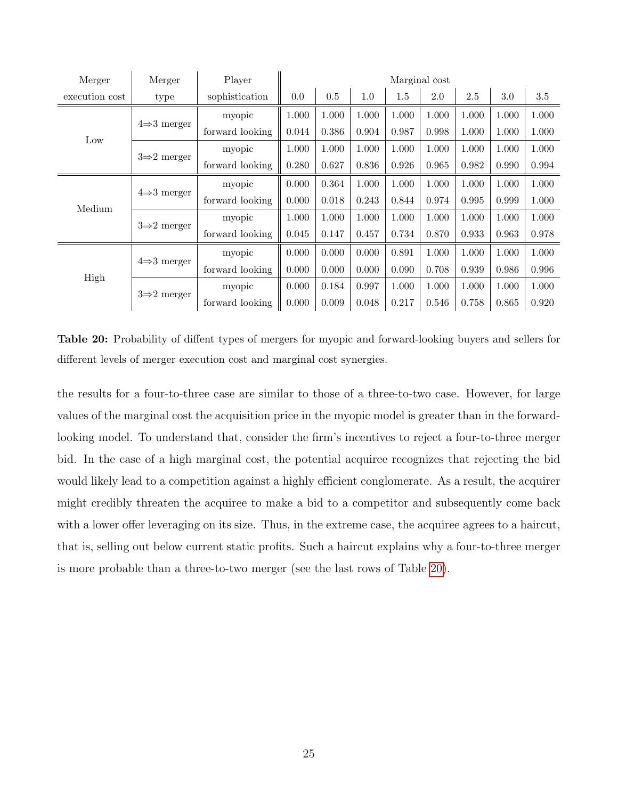<span id="page-24-0"></span>

| Merger         | Merger                  | Player          |       |       |       |       | Marginal cost |       |       |       |
|----------------|-------------------------|-----------------|-------|-------|-------|-------|---------------|-------|-------|-------|
| execution cost | type                    | sophistication  | 0.0   | 0.5   | 1.0   | 1.5   | 2.0           | 2.5   | 3.0   | 3.5   |
|                |                         | myopic          | 1.000 | 1.000 | 1.000 | 1.000 | 1.000         | 1.000 | 1.000 | 1.000 |
| Low            | $4\Rightarrow 3$ merger | forward looking | 0.044 | 0.386 | 0.904 | 0.987 | 0.998         | 1.000 | 1.000 | 1.000 |
|                |                         | myopic          | 1.000 | 1.000 | 1.000 | 1.000 | 1.000         | 1.000 | 1.000 | 1.000 |
|                | $3\Rightarrow 2$ merger | forward looking | 0.280 | 0.627 | 0.836 | 0.926 | 0.965         | 0.982 | 0.990 | 0.994 |
|                | $4\Rightarrow 3$ merger | myopic          | 0.000 | 0.364 | 1.000 | 1.000 | 1.000         | 1.000 | 1.000 | 1.000 |
| Medium         |                         | forward looking | 0.000 | 0.018 | 0.243 | 0.844 | 0.974         | 0.995 | 0.999 | 1.000 |
|                |                         | myopic          | 1.000 | 1.000 | 1.000 | 1.000 | 1.000         | 1.000 | 1.000 | 1.000 |
|                | $3\Rightarrow 2$ merger | forward looking | 0.045 | 0.147 | 0.457 | 0.734 | 0.870         | 0.933 | 0.963 | 0.978 |
|                |                         | myopic          | 0.000 | 0.000 | 0.000 | 0.891 | 1.000         | 1.000 | 1.000 | 1.000 |
|                | $4\Rightarrow 3$ merger | forward looking | 0.000 | 0.000 | 0.000 | 0.090 | 0.708         | 0.939 | 0.986 | 0.996 |
| High           |                         | myopic          | 0.000 | 0.184 | 0.997 | 1.000 | 1.000         | 1.000 | 1.000 | 1.000 |
|                | $3\rightarrow 2$ merger | forward looking | 0.000 | 0.009 | 0.048 | 0.217 | 0.546         | 0.758 | 0.865 | 0.920 |

Table 20: Probability of diffent types of mergers for myopic and forward-looking buyers and sellers for different levels of merger execution cost and marginal cost synergies.

the results for a four-to-three case are similar to those of a three-to-two case. However, for large values of the marginal cost the acquisition price in the myopic model is greater than in the forwardlooking model. To understand that, consider the firm's incentives to reject a four-to-three merger bid. In the case of a high marginal cost, the potential acquiree recognizes that rejecting the bid would likely lead to a competition against a highly efficient conglomerate. As a result, the acquirer might credibly threaten the acquiree to make a bid to a competitor and subsequently come back with a lower offer leveraging on its size. Thus, in the extreme case, the acquiree agrees to a haircut, that is, selling out below current static profits. Such a haircut explains why a four-to-three merger is more probable than a three-to-two merger (see the last rows of Table [20\)](#page-24-0).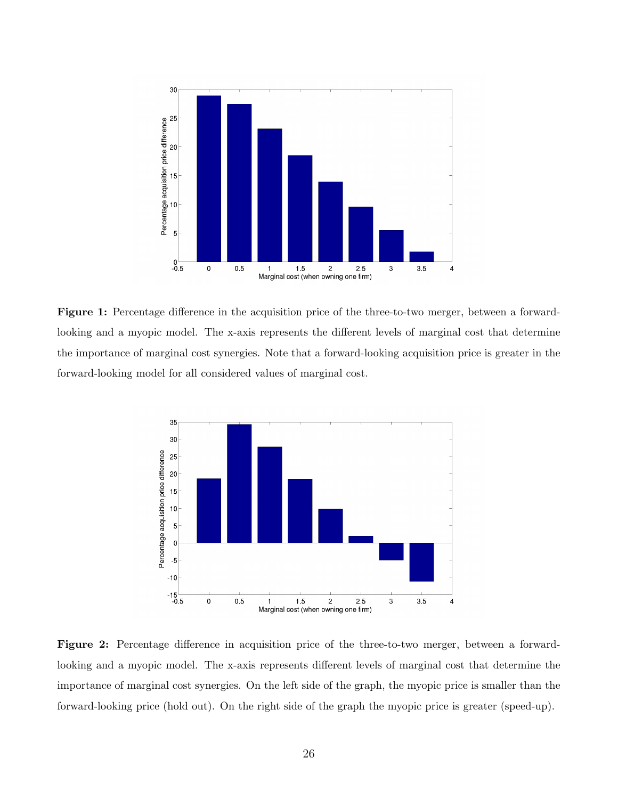

Figure 1: Percentage difference in the acquisition price of the three-to-two merger, between a forwardlooking and a myopic model. The x-axis represents the different levels of marginal cost that determine the importance of marginal cost synergies. Note that a forward-looking acquisition price is greater in the forward-looking model for all considered values of marginal cost.

<span id="page-25-0"></span>

Figure 2: Percentage difference in acquisition price of the three-to-two merger, between a forwardlooking and a myopic model. The x-axis represents different levels of marginal cost that determine the importance of marginal cost synergies. On the left side of the graph, the myopic price is smaller than the forward-looking price (hold out). On the right side of the graph the myopic price is greater (speed-up).